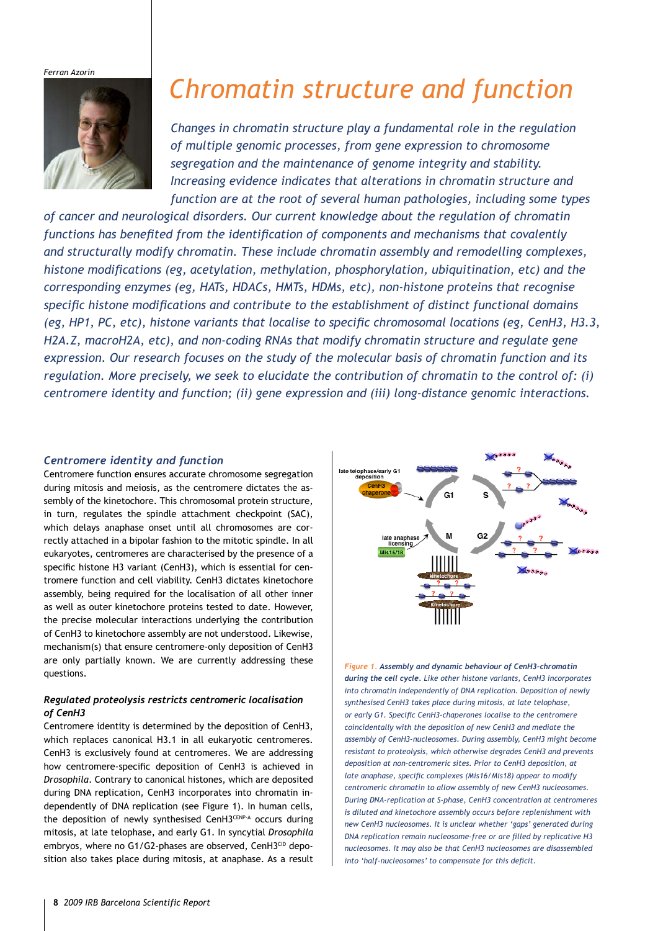*Ferran Azorín*



# *Chromatin structure and function*

*Changes in chromatin structure play a fundamental role in the regulation of multiple genomic processes, from gene expression to chromosome segregation and the maintenance of genome integrity and stability. Increasing evidence indicates that alterations in chromatin structure and function are at the root of several human pathologies, including some types* 

*of cancer and neurological disorders. Our current knowledge about the regulation of chromatin functions has benefited from the identification of components and mechanisms that covalently and structurally modify chromatin. These include chromatin assembly and remodelling complexes, histone modifications (eg, acetylation, methylation, phosphorylation, ubiquitination, etc) and the corresponding enzymes (eg, HATs, HDACs, HMTs, HDMs, etc), non-histone proteins that recognise specific histone modifications and contribute to the establishment of distinct functional domains (eg, HP1, PC, etc), histone variants that localise to specific chromosomal locations (eg, CenH3, H3.3, H2A.Z, macroH2A, etc), and non-coding RNAs that modify chromatin structure and regulate gene expression. Our research focuses on the study of the molecular basis of chromatin function and its regulation. More precisely, we seek to elucidate the contribution of chromatin to the control of: (i) centromere identity and function; (ii) gene expression and (iii) long-distance genomic interactions.*

#### *Centromere identity and function*

Centromere function ensures accurate chromosome segregation during mitosis and meiosis, as the centromere dictates the assembly of the kinetochore. This chromosomal protein structure, in turn, regulates the spindle attachment checkpoint (SAC), which delays anaphase onset until all chromosomes are correctly attached in a bipolar fashion to the mitotic spindle. In all eukaryotes, centromeres are characterised by the presence of a specific histone H3 variant (CenH3), which is essential for centromere function and cell viability. CenH3 dictates kinetochore assembly, being required for the localisation of all other inner as well as outer kinetochore proteins tested to date. However, the precise molecular interactions underlying the contribution of CenH3 to kinetochore assembly are not understood. Likewise, mechanism(s) that ensure centromere-only deposition of CenH3 are only partially known. We are currently addressing these questions.

# *Regulated proteolysis restricts centromeric localisation of CenH3*

Centromere identity is determined by the deposition of CenH3, which replaces canonical H3.1 in all eukaryotic centromeres. CenH3 is exclusively found at centromeres. We are addressing how centromere-specific deposition of CenH3 is achieved in *Drosophila*. Contrary to canonical histones, which are deposited during DNA replication, CenH3 incorporates into chromatin independently of DNA replication (see Figure 1). In human cells, the deposition of newly synthesised CenH3CENP-A occurs during mitosis, at late telophase, and early G1. In syncytial *Drosophila* embryos, where no G1/G2-phases are observed, CenH3CID deposition also takes place during mitosis, at anaphase. As a result



*Figure 1. Assembly and dynamic behaviour of CenH3-chromatin during the cell cycle. Like other histone variants, CenH3 incorporates into chromatin independently of DNA replication. Deposition of newly synthesised CenH3 takes place during mitosis, at late telophase, or early G1. Specific CenH3-chaperones localise to the centromere coincidentally with the deposition of new CenH3 and mediate the assembly of CenH3-nucleosomes. During assembly, CenH3 might become resistant to proteolysis, which otherwise degrades CenH3 and prevents deposition at non-centromeric sites. Prior to CenH3 deposition, at late anaphase, specific complexes (Mis16/Mis18) appear to modify centromeric chromatin to allow assembly of new CenH3 nucleosomes. During DNA-replication at S-phase, CenH3 concentration at centromeres is diluted and kinetochore assembly occurs before replenishment with new CenH3 nucleosomes. It is unclear whether 'gaps' generated during DNA replication remain nucleosome-free or are filled by replicative H3 nucleosomes. It may also be that CenH3 nucleosomes are disassembled into 'half-nucleosomes' to compensate for this deficit.*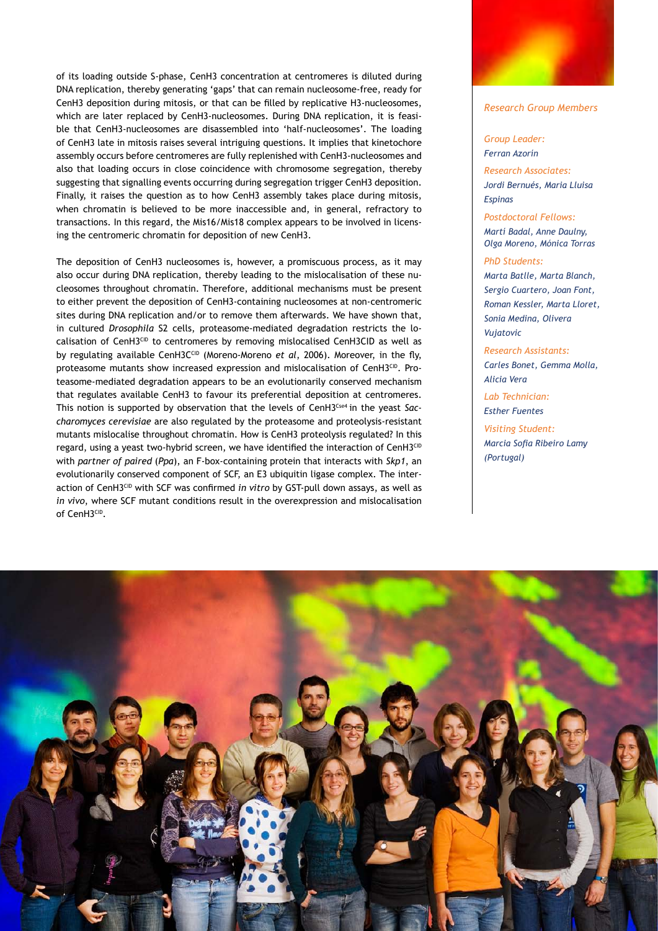of its loading outside S-phase, CenH3 concentration at centromeres is diluted during DNA replication, thereby generating 'gaps' that can remain nucleosome-free, ready for CenH3 deposition during mitosis, or that can be filled by replicative H3-nucleosomes, which are later replaced by CenH3-nucleosomes. During DNA replication, it is feasible that CenH3-nucleosomes are disassembled into 'half-nucleosomes'. The loading of CenH3 late in mitosis raises several intriguing questions. It implies that kinetochore assembly occurs before centromeres are fully replenished with CenH3-nucleosomes and also that loading occurs in close coincidence with chromosome segregation, thereby suggesting that signalling events occurring during segregation trigger CenH3 deposition. Finally, it raises the question as to how CenH3 assembly takes place during mitosis, when chromatin is believed to be more inaccessible and, in general, refractory to transactions. In this regard, the Mis16/Mis18 complex appears to be involved in licensing the centromeric chromatin for deposition of new CenH3.

The deposition of CenH3 nucleosomes is, however, a promiscuous process, as it may also occur during DNA replication, thereby leading to the mislocalisation of these nucleosomes throughout chromatin. Therefore, additional mechanisms must be present to either prevent the deposition of CenH3-containing nucleosomes at non-centromeric sites during DNA replication and/or to remove them afterwards. We have shown that, in cultured *Drosophila* S2 cells, proteasome-mediated degradation restricts the localisation of CenH3CID to centromeres by removing mislocalised CenH3CID as well as by regulating available CenH3C<sup>CID</sup> (Moreno-Moreno *et al*, 2006). Moreover, in the fly, proteasome mutants show increased expression and mislocalisation of CenH3CID. Proteasome-mediated degradation appears to be an evolutionarily conserved mechanism that regulates available CenH3 to favour its preferential deposition at centromeres. This notion is supported by observation that the levels of CenH3Cse4 in the yeast *Saccharomyces cerevisiae* are also regulated by the proteasome and proteolysis-resistant mutants mislocalise throughout chromatin. How is CenH3 proteolysis regulated? In this regard, using a yeast two-hybrid screen, we have identified the interaction of CenH3CID with *partner of paired* (*Ppa*), an F-box-containing protein that interacts with *Skp1*, an evolutionarily conserved component of SCF, an E3 ubiquitin ligase complex. The interaction of CenH3CID with SCF was confirmed *in vitro* by GST-pull down assays, as well as *in vivo*, where SCF mutant conditions result in the overexpression and mislocalisation of CenH3CID.



#### *Research Group Members*

#### *Group Leader: Ferran Azorín*

*Research Associates: Jordi Bernués, Maria Lluisa Espinas*

*Postdoctoral Fellows: Martí Badal, Anne Daulny, Olga Moreno, Mónica Torras*

#### *PhD Students:*

*Marta Batlle, Marta Blanch, Sergio Cuartero, Joan Font, Roman Kessler, Marta Lloret, Sonia Medina, Olivera Vujatovic*

*Research Assistants: Carles Bonet, Gemma Molla, Alicia Vera*

*Lab Technician: Esther Fuentes*

*Visiting Student: Marcia Sofia Ribeiro Lamy (Portugal)*

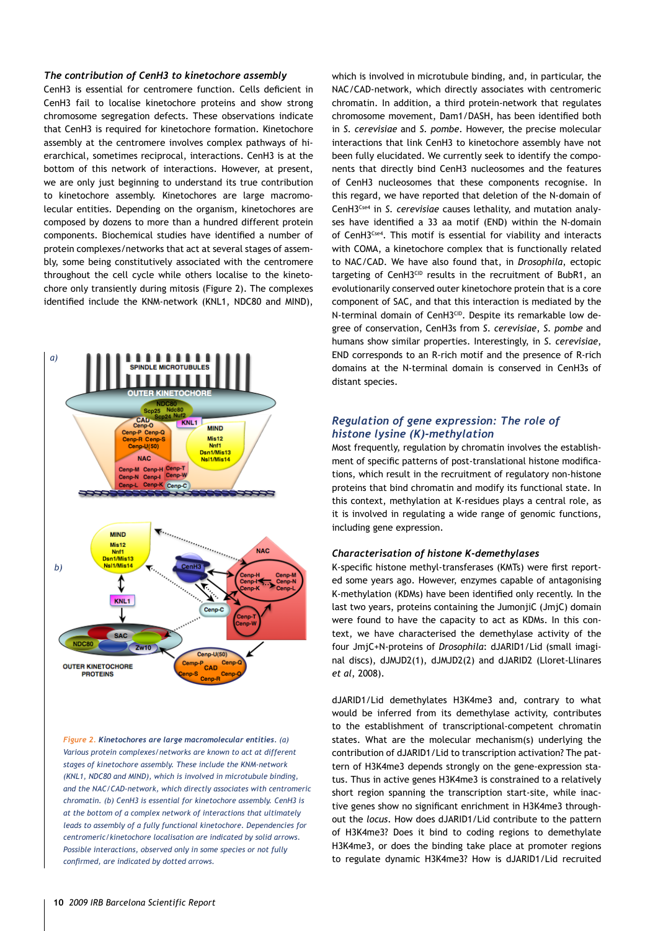#### *The contribution of CenH3 to kinetochore assembly*

CenH3 is essential for centromere function. Cells deficient in CenH3 fail to localise kinetochore proteins and show strong chromosome segregation defects. These observations indicate that CenH3 is required for kinetochore formation. Kinetochore assembly at the centromere involves complex pathways of hierarchical, sometimes reciprocal, interactions. CenH3 is at the bottom of this network of interactions. However, at present, we are only just beginning to understand its true contribution to kinetochore assembly. Kinetochores are large macromolecular entities. Depending on the organism, kinetochores are composed by dozens to more than a hundred different protein components. Biochemical studies have identified a number of protein complexes/networks that act at several stages of assembly, some being constitutively associated with the centromere throughout the cell cycle while others localise to the kinetochore only transiently during mitosis (Figure 2). The complexes identified include the KNM-network (KNL1, NDC80 and MIND),



*Figure 2. Kinetochores are large macromolecular entities. (a) Various protein complexes/networks are known to act at different stages of kinetochore assembly. These include the KNM-network (KNL1, NDC80 and MIND), which is involved in microtubule binding, and the NAC/CAD-network, which directly associates with centromeric chromatin. (b) CenH3 is essential for kinetochore assembly. CenH3 is at the bottom of a complex network of interactions that ultimately leads to assembly of a fully functional kinetochore. Dependencies for centromeric/kinetochore localisation are indicated by solid arrows. Possible interactions, observed only in some species or not fully confirmed, are indicated by dotted arrows.* 

which is involved in microtubule binding, and, in particular, the NAC/CAD-network, which directly associates with centromeric chromatin. In addition, a third protein-network that regulates chromosome movement, Dam1/DASH, has been identified both in *S. cerevisiae* and *S. pombe*. However, the precise molecular interactions that link CenH3 to kinetochore assembly have not been fully elucidated. We currently seek to identify the components that directly bind CenH3 nucleosomes and the features of CenH3 nucleosomes that these components recognise. In this regard, we have reported that deletion of the N-domain of CenH3Cse4 in *S. cerevisiae* causes lethality, and mutation analyses have identified a 33 aa motif (END) within the N-domain of CenH3Cse4. This motif is essential for viability and interacts with COMA, a kinetochore complex that is functionally related to NAC/CAD. We have also found that, in *Drosophila*, ectopic targeting of CenH3CID results in the recruitment of BubR1, an evolutionarily conserved outer kinetochore protein that is a core component of SAC, and that this interaction is mediated by the N-terminal domain of CenH3CID. Despite its remarkable low degree of conservation, CenH3s from *S. cerevisiae*, *S. pombe* and humans show similar properties. Interestingly, in *S. cerevisiae*, END corresponds to an R-rich motif and the presence of R-rich domains at the N-terminal domain is conserved in CenH3s of distant species.

# *Regulation of gene expression: The role of histone lysine (K)-methylation*

Most frequently, regulation by chromatin involves the establishment of specific patterns of post-translational histone modifications, which result in the recruitment of regulatory non-histone proteins that bind chromatin and modify its functional state. In this context, methylation at K-residues plays a central role, as it is involved in regulating a wide range of genomic functions, including gene expression.

#### *Characterisation of histone K-demethylases*

K-specific histone methyl-transferases (KMTs) were first reported some years ago. However, enzymes capable of antagonising K-methylation (KDMs) have been identified only recently. In the last two years, proteins containing the JumonjiC (JmjC) domain were found to have the capacity to act as KDMs. In this context, we have characterised the demethylase activity of the four JmjC+N-proteins of *Drosophila*: dJARID1/Lid (small imaginal discs), dJMJD2(1), dJMJD2(2) and dJARID2 (Lloret-Llinares *et al*, 2008).

dJARID1/Lid demethylates H3K4me3 and, contrary to what would be inferred from its demethylase activity, contributes to the establishment of transcriptional-competent chromatin states. What are the molecular mechanism(s) underlying the contribution of dJARID1/Lid to transcription activation? The pattern of H3K4me3 depends strongly on the gene-expression status. Thus in active genes H3K4me3 is constrained to a relatively short region spanning the transcription start-site, while inactive genes show no significant enrichment in H3K4me3 throughout the *locus*. How does dJARID1/Lid contribute to the pattern of H3K4me3? Does it bind to coding regions to demethylate H3K4me3, or does the binding take place at promoter regions to regulate dynamic H3K4me3? How is dJARID1/Lid recruited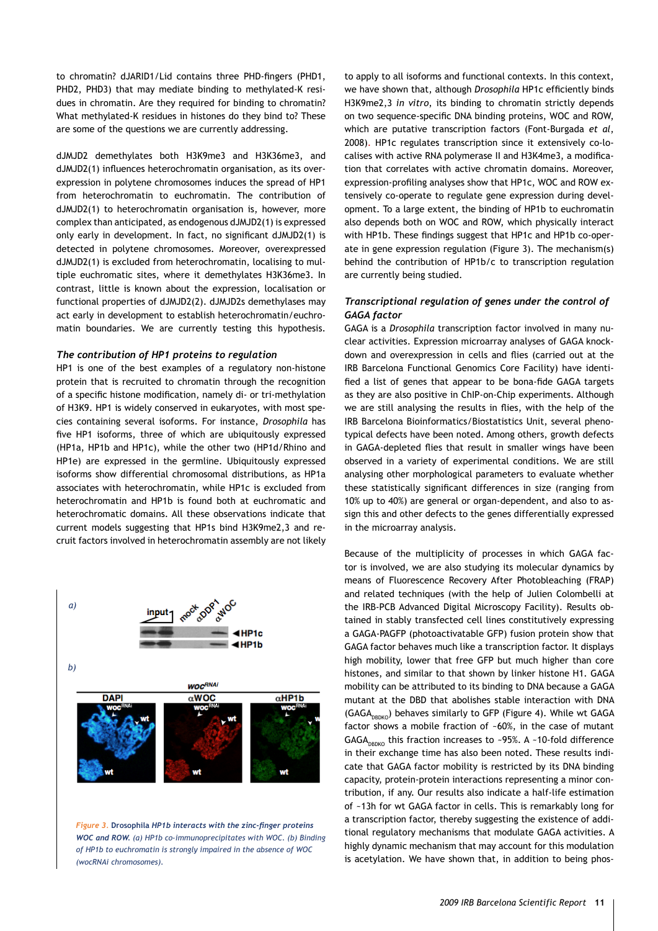to chromatin? dJARID1/Lid contains three PHD-fingers (PHD1, PHD2, PHD3) that may mediate binding to methylated-K residues in chromatin. Are they required for binding to chromatin? What methylated-K residues in histones do they bind to? These are some of the questions we are currently addressing.

dJMJD2 demethylates both H3K9me3 and H3K36me3, and dJMJD2(1) influences heterochromatin organisation, as its overexpression in polytene chromosomes induces the spread of HP1 from heterochromatin to euchromatin. The contribution of dJMJD2(1) to heterochromatin organisation is, however, more complex than anticipated, as endogenous dJMJD2(1) is expressed only early in development. In fact, no significant dJMJD2(1) is detected in polytene chromosomes. Moreover, overexpressed dJMJD2(1) is excluded from heterochromatin, localising to multiple euchromatic sites, where it demethylates H3K36me3. In contrast, little is known about the expression, localisation or functional properties of dJMJD2(2). dJMJD2s demethylases may act early in development to establish heterochromatin/euchromatin boundaries. We are currently testing this hypothesis.

#### *The contribution of HP1 proteins to regulation*

HP1 is one of the best examples of a regulatory non-histone protein that is recruited to chromatin through the recognition of a specific histone modification, namely di- or tri-methylation of H3K9. HP1 is widely conserved in eukaryotes, with most species containing several isoforms. For instance, *Drosophila* has five HP1 isoforms, three of which are ubiquitously expressed (HP1a, HP1b and HP1c), while the other two (HP1d/Rhino and HP1e) are expressed in the germline. Ubiquitously expressed isoforms show differential chromosomal distributions, as HP1a associates with heterochromatin, while HP1c is excluded from heterochromatin and HP1b is found both at euchromatic and heterochromatic domains. All these observations indicate that current models suggesting that HP1s bind H3K9me2,3 and recruit factors involved in heterochromatin assembly are not likely



*Figure 3.* **Drosophila** *HP1b interacts with the zinc-finger proteins WOC and ROW. (a) HP1b co-immunoprecipitates with WOC. (b) Binding of HP1b to euchromatin is strongly impaired in the absence of WOC (wocRNAi chromosomes).*

to apply to all isoforms and functional contexts. In this context, we have shown that, although *Drosophila* HP1c efficiently binds H3K9me2,3 *in vitro*, its binding to chromatin strictly depends on two sequence-specific DNA binding proteins, WOC and ROW, which are putative transcription factors (Font-Burgada *et al*, 2008). HP1c regulates transcription since it extensively co-localises with active RNA polymerase II and H3K4me3, a modification that correlates with active chromatin domains. Moreover, expression-profiling analyses show that HP1c, WOC and ROW extensively co-operate to regulate gene expression during development. To a large extent, the binding of HP1b to euchromatin also depends both on WOC and ROW, which physically interact with HP1b. These findings suggest that HP1c and HP1b co-operate in gene expression regulation (Figure 3). The mechanism(s) behind the contribution of HP1b/c to transcription regulation are currently being studied.

## *Transcriptional regulation of genes under the control of GAGA factor*

GAGA is a *Drosophila* transcription factor involved in many nuclear activities. Expression microarray analyses of GAGA knockdown and overexpression in cells and flies (carried out at the IRB Barcelona Functional Genomics Core Facility) have identified a list of genes that appear to be bona-fide GAGA targets as they are also positive in ChIP-on-Chip experiments. Although we are still analysing the results in flies, with the help of the IRB Barcelona Bioinformatics/Biostatistics Unit, several phenotypical defects have been noted. Among others, growth defects in GAGA-depleted flies that result in smaller wings have been observed in a variety of experimental conditions. We are still analysing other morphological parameters to evaluate whether these statistically significant differences in size (ranging from 10% up to 40%) are general or organ-dependent, and also to assign this and other defects to the genes differentially expressed in the microarray analysis.

Because of the multiplicity of processes in which GAGA factor is involved, we are also studying its molecular dynamics by means of Fluorescence Recovery After Photobleaching (FRAP) and related techniques (with the help of Julien Colombelli at the IRB-PCB Advanced Digital Microscopy Facility). Results obtained in stably transfected cell lines constitutively expressing a GAGA-PAGFP (photoactivatable GFP) fusion protein show that GAGA factor behaves much like a transcription factor. It displays high mobility, lower that free GFP but much higher than core histones, and similar to that shown by linker histone H1. GAGA mobility can be attributed to its binding to DNA because a GAGA mutant at the DBD that abolishes stable interaction with DNA (GAGA<sub>DBDKO</sub>) behaves similarly to GFP (Figure 4). While wt GAGA factor shows a mobile fraction of ~60%, in the case of mutant GAGA<sub>DBDKO</sub> this fraction increases to ~95%. A ~10-fold difference in their exchange time has also been noted. These results indicate that GAGA factor mobility is restricted by its DNA binding capacity, protein-protein interactions representing a minor contribution, if any. Our results also indicate a half-life estimation of ~13h for wt GAGA factor in cells. This is remarkably long for a transcription factor, thereby suggesting the existence of additional regulatory mechanisms that modulate GAGA activities. A highly dynamic mechanism that may account for this modulation is acetylation. We have shown that, in addition to being phos-